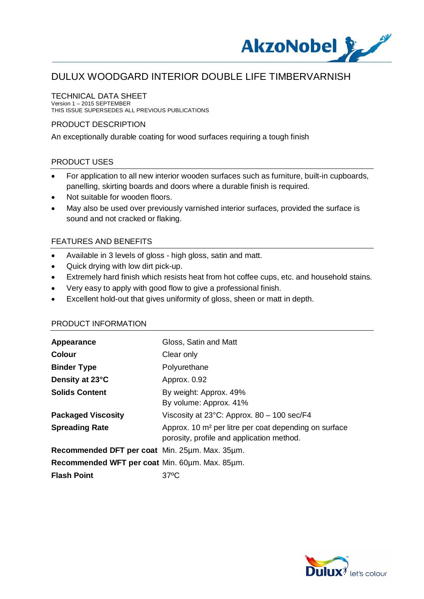

### TECHNICAL DATA SHEET

Version 1 – 2015 SEPTEMBER THIS ISSUE SUPERSEDES ALL PREVIOUS PUBLICATIONS

### PRODUCT DESCRIPTION

An exceptionally durable coating for wood surfaces requiring a tough finish

## PRODUCT USES

- For application to all new interior wooden surfaces such as furniture, built-in cupboards, panelling, skirting boards and doors where a durable finish is required.
- · Not suitable for wooden floors.
- · May also be used over previously varnished interior surfaces, provided the surface is sound and not cracked or flaking.

## FEATURES AND BENEFITS

- · Available in 3 levels of gloss high gloss, satin and matt.
- · Quick drying with low dirt pick-up.
- · Extremely hard finish which resists heat from hot coffee cups, etc. and household stains.
- · Very easy to apply with good flow to give a professional finish.
- · Excellent hold-out that gives uniformity of gloss, sheen or matt in depth.

### PRODUCT INFORMATION

| Appearance                                     | Gloss, Satin and Matt                                                                                          |
|------------------------------------------------|----------------------------------------------------------------------------------------------------------------|
| <b>Colour</b>                                  | Clear only                                                                                                     |
| <b>Binder Type</b>                             | Polyurethane                                                                                                   |
| Density at 23°C                                | Approx. 0.92                                                                                                   |
| <b>Solids Content</b>                          | By weight: Approx. 49%<br>By volume: Approx. 41%                                                               |
| <b>Packaged Viscosity</b>                      | Viscosity at $23^{\circ}$ C: Approx. 80 - 100 sec/F4                                                           |
| <b>Spreading Rate</b>                          | Approx. 10 m <sup>2</sup> per litre per coat depending on surface<br>porosity, profile and application method. |
| Recommended DFT per coat Min. 25µm. Max. 35µm. |                                                                                                                |
| Recommended WFT per coat Min. 60um. Max. 85um. |                                                                                                                |
| <b>Flash Point</b>                             | $37^{\circ}$ C                                                                                                 |

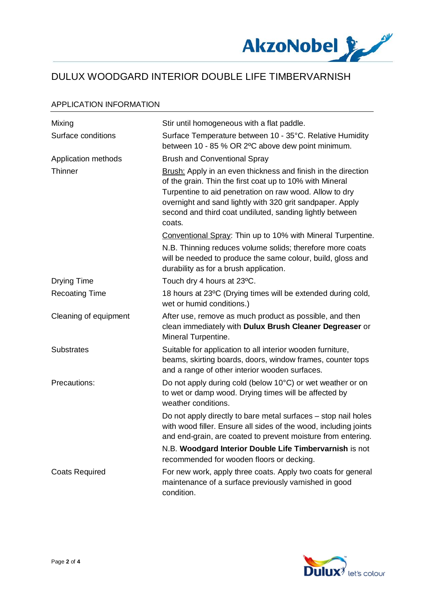

#### APPLICATION INFORMATION

| Mixing                | Stir until homogeneous with a flat paddle.                                                                                                                                                                                                                                                                              |
|-----------------------|-------------------------------------------------------------------------------------------------------------------------------------------------------------------------------------------------------------------------------------------------------------------------------------------------------------------------|
| Surface conditions    | Surface Temperature between 10 - 35°C. Relative Humidity<br>between 10 - 85 % OR 2°C above dew point minimum.                                                                                                                                                                                                           |
| Application methods   | <b>Brush and Conventional Spray</b>                                                                                                                                                                                                                                                                                     |
| Thinner               | Brush: Apply in an even thickness and finish in the direction<br>of the grain. Thin the first coat up to 10% with Mineral<br>Turpentine to aid penetration on raw wood. Allow to dry<br>overnight and sand lightly with 320 grit sandpaper. Apply<br>second and third coat undiluted, sanding lightly between<br>coats. |
|                       | Conventional Spray: Thin up to 10% with Mineral Turpentine.<br>N.B. Thinning reduces volume solids; therefore more coats<br>will be needed to produce the same colour, build, gloss and<br>durability as for a brush application.                                                                                       |
| <b>Drying Time</b>    | Touch dry 4 hours at 23°C.                                                                                                                                                                                                                                                                                              |
| <b>Recoating Time</b> | 18 hours at 23°C (Drying times will be extended during cold,<br>wet or humid conditions.)                                                                                                                                                                                                                               |
| Cleaning of equipment | After use, remove as much product as possible, and then<br>clean immediately with Dulux Brush Cleaner Degreaser or<br>Mineral Turpentine.                                                                                                                                                                               |
| <b>Substrates</b>     | Suitable for application to all interior wooden furniture,<br>beams, skirting boards, doors, window frames, counter tops<br>and a range of other interior wooden surfaces.                                                                                                                                              |
| Precautions:          | Do not apply during cold (below 10°C) or wet weather or on<br>to wet or damp wood. Drying times will be affected by<br>weather conditions.                                                                                                                                                                              |
|                       | Do not apply directly to bare metal surfaces – stop nail holes<br>with wood filler. Ensure all sides of the wood, including joints<br>and end-grain, are coated to prevent moisture from entering.                                                                                                                      |
|                       | N.B. Woodgard Interior Double Life Timbervarnish is not<br>recommended for wooden floors or decking.                                                                                                                                                                                                                    |
| <b>Coats Required</b> | For new work, apply three coats. Apply two coats for general<br>maintenance of a surface previously varnished in good<br>condition.                                                                                                                                                                                     |

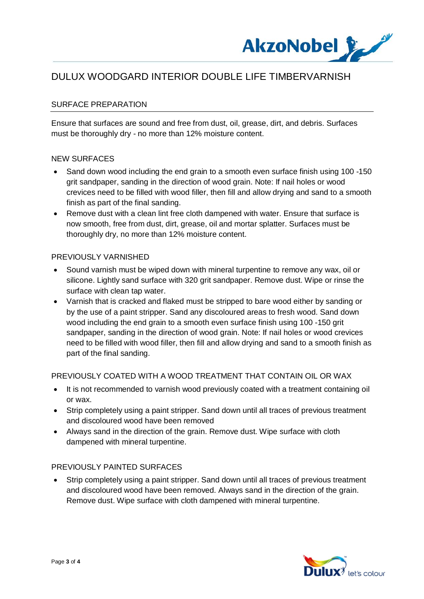

## SURFACE PREPARATION

Ensure that surfaces are sound and free from dust, oil, grease, dirt, and debris. Surfaces must be thoroughly dry - no more than 12% moisture content.

#### NEW SURFACES

- Sand down wood including the end grain to a smooth even surface finish using 100 -150 grit sandpaper, sanding in the direction of wood grain. Note: If nail holes or wood crevices need to be filled with wood filler, then fill and allow drying and sand to a smooth finish as part of the final sanding.
- Remove dust with a clean lint free cloth dampened with water. Ensure that surface is now smooth, free from dust, dirt, grease, oil and mortar splatter. Surfaces must be thoroughly dry, no more than 12% moisture content.

#### PREVIOUSLY VARNISHED

- · Sound varnish must be wiped down with mineral turpentine to remove any wax, oil or silicone. Lightly sand surface with 320 grit sandpaper. Remove dust. Wipe or rinse the surface with clean tap water.
- · Varnish that is cracked and flaked must be stripped to bare wood either by sanding or by the use of a paint stripper. Sand any discoloured areas to fresh wood. Sand down wood including the end grain to a smooth even surface finish using 100 -150 grit sandpaper, sanding in the direction of wood grain. Note: If nail holes or wood crevices need to be filled with wood filler, then fill and allow drying and sand to a smooth finish as part of the final sanding.

#### PREVIOUSLY COATED WITH A WOOD TREATMENT THAT CONTAIN OIL OR WAX

- It is not recommended to varnish wood previously coated with a treatment containing oil or wax.
- · Strip completely using a paint stripper. Sand down until all traces of previous treatment and discoloured wood have been removed
- · Always sand in the direction of the grain. Remove dust. Wipe surface with cloth dampened with mineral turpentine.

#### PREVIOUSLY PAINTED SURFACES

Strip completely using a paint stripper. Sand down until all traces of previous treatment and discoloured wood have been removed. Always sand in the direction of the grain. Remove dust. Wipe surface with cloth dampened with mineral turpentine.